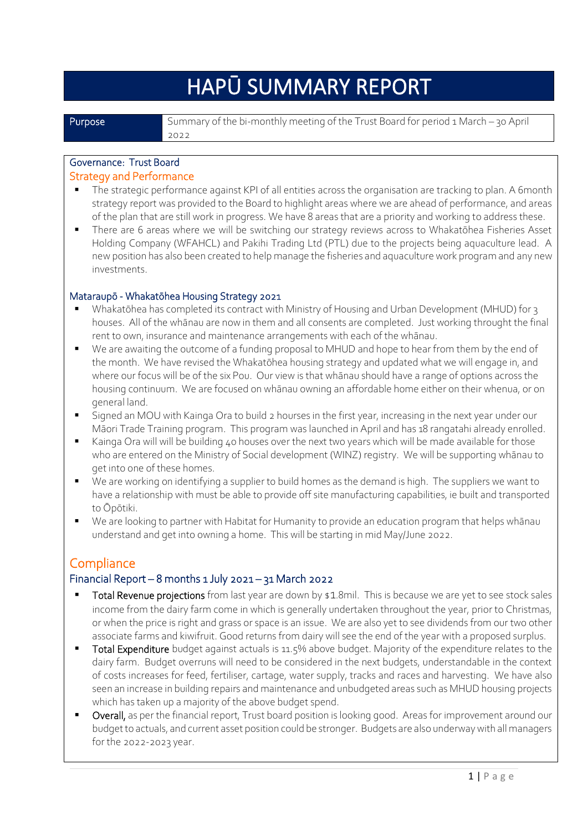# HAPŪ SUMMARY REPORT

**Purpose** Summary of the bi-monthly meeting of the Trust Board for period 1 March – 30 April 2022

# Governance: Trust Board

#### Strategy and Performance

- The strategic performance against KPI of all entities across the organisation are tracking to plan. A 6month strategy report was provided to the Board to highlight areas where we are ahead of performance, and areas of the plan that are still work in progress. We have 8 areas that are a priority and working to address these.
- There are 6 areas where we will be switching our strategy reviews across to Whakatōhea Fisheries Asset Holding Company (WFAHCL) and Pakihi Trading Ltd (PTL) due to the projects being aquaculture lead. A new position has also been created to help manage the fisheries and aquaculture work program and any new investments.

#### Mataraupō - Whakatōhea Housing Strategy 2021

- Whakatōhea has completed its contract with Ministry of Housing and Urban Development (MHUD) for 3 houses. All of the whānau are now in them and all consents are completed. Just working throught the final rent to own, insurance and maintenance arrangements with each of the whānau.
- We are awaiting the outcome of a funding proposal to MHUD and hope to hear from them by the end of the month. We have revised the Whakatōhea housing strategy and updated what we will engage in, and where our focus will be of the six Pou. Our view is that whānau should have a range of options across the housing continuum. We are focused on whānau owning an affordable home either on their whenua, or on general land.
- Signed an MOU with Kainga Ora to build 2 hourses in the first year, increasing in the next year under our Māori Trade Training program. This program was launched in April and has 18 rangatahi already enrolled.
- Kainga Ora will will be building 40 houses over the next two years which will be made available for those who are entered on the Ministry of Social development (WINZ) registry. We will be supporting whānau to get into one of these homes.
- We are working on identifying a supplier to build homes as the demand is high. The suppliers we want to have a relationship with must be able to provide off site manufacturing capabilities, ie built and transported to Ōpōtiki.
- We are looking to partner with Habitat for Humanity to provide an education program that helps whānau understand and get into owning a home. This will be starting in mid May/June 2022.

# **Compliance**

#### Financial Report – 8 months 1 July 2021 – 31 March 2022

- **Total Revenue projections** from last year are down by \$1.8mil. This is because we are yet to see stock sales income from the dairy farm come in which is generally undertaken throughout the year, prior to Christmas, or when the price is right and grass or space is an issue. We are also yet to see dividends from our two other associate farms and kiwifruit. Good returns from dairy will see the end of the year with a proposed surplus.
- Total Expenditure budget against actuals is 11.5% above budget. Majority of the expenditure relates to the dairy farm. Budget overruns will need to be considered in the next budgets, understandable in the context of costs increases for feed, fertiliser, cartage, water supply, tracks and races and harvesting. We have also seen an increase in building repairs and maintenance and unbudgeted areas such as MHUD housing projects which has taken up a majority of the above budget spend.
- Overall, as per the financial report, Trust board position is looking good. Areas for improvement around our budget to actuals, and current asset position could be stronger. Budgets are also underway with all managers for the 2022-2023 year.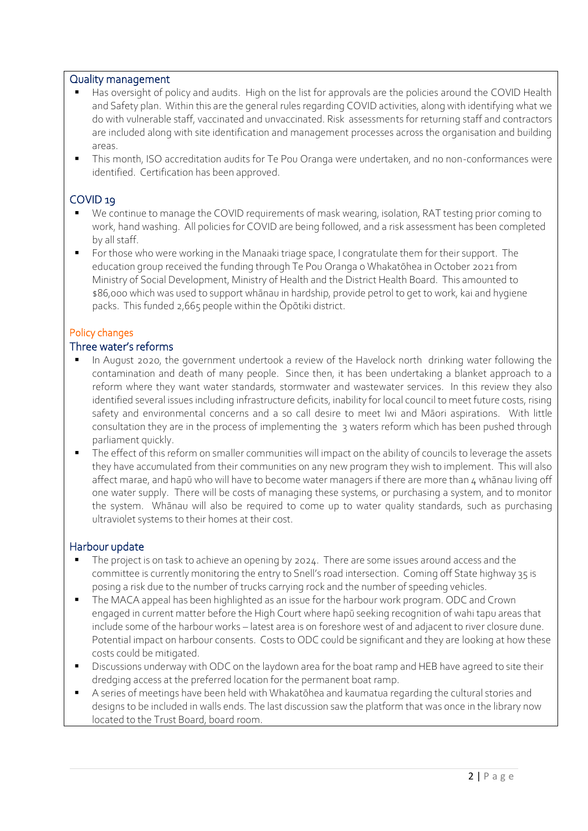#### Quality management

- Has oversight of policy and audits. High on the list for approvals are the policies around the COVID Health and Safety plan. Within this are the general rules regarding COVID activities, along with identifying what we do with vulnerable staff, vaccinated and unvaccinated. Risk assessments for returning staff and contractors are included along with site identification and management processes across the organisation and building areas.
- This month, ISO accreditation audits for Te Pou Oranga were undertaken, and no non-conformances were identified. Certification has been approved.

#### COVID 19

- We continue to manage the COVID requirements of mask wearing, isolation, RAT testing prior coming to work, hand washing. All policies for COVID are being followed, and a risk assessment has been completed by all staff.
- For those who were working in the Manaaki triage space, I congratulate them for their support. The education group received the funding through Te Pou Oranga o Whakatōhea in October 2021 from Ministry of Social Development, Ministry of Health and the District Health Board. This amounted to \$86,000 which was used to support whānau in hardship, provide petrol to get to work, kai and hygiene packs. This funded 2,665 people within the Ōpōtiki district.

#### Policy changes

#### Three water's reforms

- In August 2020, the government undertook a review of the Havelock north drinking water following the contamination and death of many people. Since then, it has been undertaking a blanket approach to a reform where they want water standards, stormwater and wastewater services. In this review they also identified several issues including infrastructure deficits, inability for local council to meet future costs, rising safety and environmental concerns and a so call desire to meet Iwi and Māori aspirations. With little consultation they are in the process of implementing the 3 waters reform which has been pushed through parliament quickly.
- The effect of this reform on smaller communities will impact on the ability of councils to leverage the assets they have accumulated from their communities on any new program they wish to implement. This will also affect marae, and hapū who will have to become water managers if there are more than 4 whānau living off one water supply. There will be costs of managing these systems, or purchasing a system, and to monitor the system. Whānau will also be required to come up to water quality standards, such as purchasing ultraviolet systems to their homes at their cost.

#### Harbour update

- The project is on task to achieve an opening by 2024. There are some issues around access and the committee is currently monitoring the entry to Snell's road intersection. Coming off State highway 35 is posing a risk due to the number of trucks carrying rock and the number of speeding vehicles.
- The MACA appeal has been highlighted as an issue for the harbour work program. ODC and Crown engaged in current matter before the High Court where hapū seeking recognition of wahi tapu areas that include some of the harbour works – latest area is on foreshore west of and adjacent to river closure dune. Potential impact on harbour consents. Costs to ODC could be significant and they are looking at how these costs could be mitigated.
- Discussions underway with ODC on the laydown area for the boat ramp and HEB have agreed to site their dredging access at the preferred location for the permanent boat ramp.
- A series of meetings have been held with Whakatōhea and kaumatua regarding the cultural stories and designs to be included in walls ends. The last discussion saw the platform that was once in the library now located to the Trust Board, board room.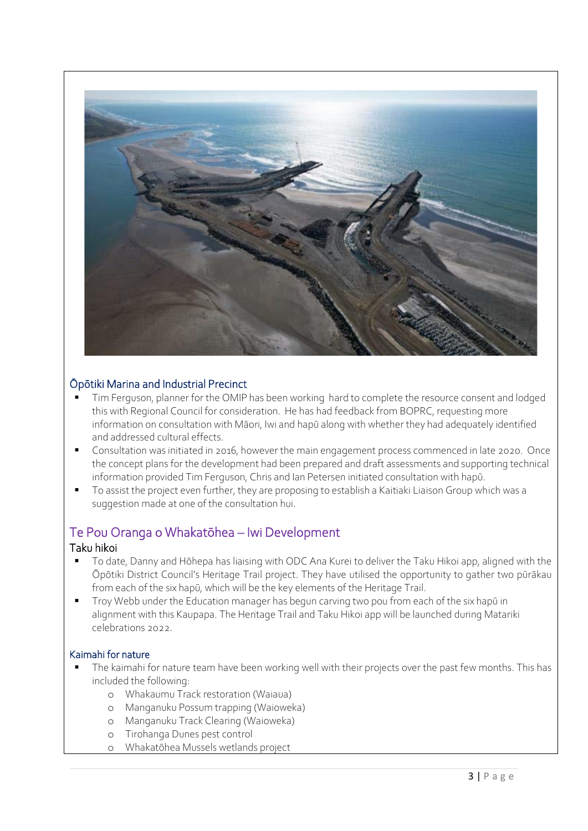

#### Ōpōtiki Marina and Industrial Precinct

- Tim Ferguson, planner for the OMIP has been working hard to complete the resource consent and lodged this with Regional Council for consideration. He has had feedback from BOPRC, requesting more information on consultation with Māori, Iwi and hapū along with whether they had adequately identified and addressed cultural effects.
- Consultation was initiated in 2016, however the main engagement process commenced in late 2020. Once the concept plans for the development had been prepared and draft assessments and supporting technical information provided Tim Ferguson, Chris and Ian Petersen initiated consultation with hapū.
- To assist the project even further, they are proposing to establish a Kaitiaki Liaison Group which was a suggestion made at one of the consultation hui.

# Te Pou Oranga o Whakatōhea – Iwi Development

#### Taku hikoi

- To date, Danny and Hōhepa has liaising with ODC Ana Kurei to deliver the Taku Hikoi app, aligned with the Ōpōtiki District Council's Heritage Trail project. They have utilised the opportunity to gather two pūrākau from each of the six hapū, which will be the key elements of the Heritage Trail.
- Troy Webb under the Education manager has begun carving two pou from each of the six hapū in alignment with this Kaupapa. The Heritage Trail and Taku Hikoi app will be launched during Matariki celebrations 2022.

#### Kaimahi for nature

- The kaimahi for nature team have been working well with their projects over the past few months. This has included the following:
	- o Whakaumu Track restoration (Waiaua)
	- o Manganuku Possum trapping (Waioweka)
	- o Manganuku Track Clearing (Waioweka)
	- o Tirohanga Dunes pest control
	- Whakatōhea Mussels wetlands project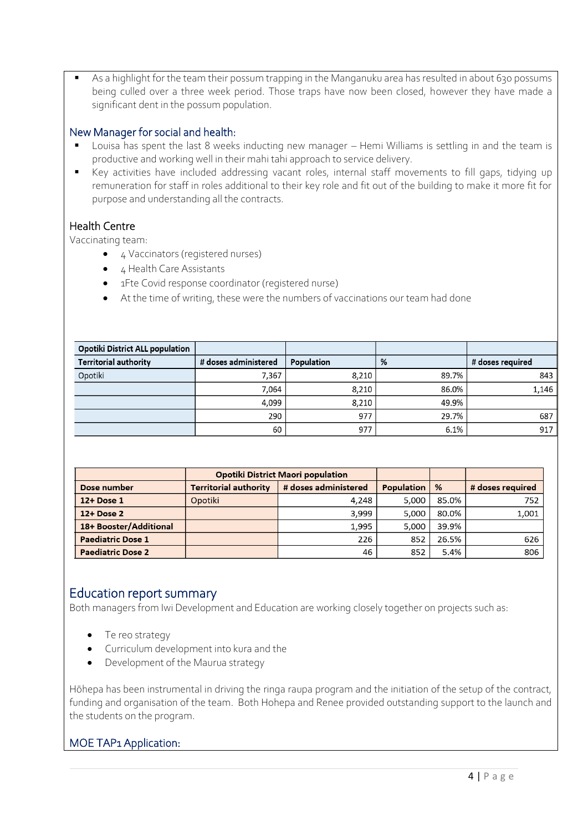As a highlight for the team their possum trapping in the Manganuku area has resulted in about 630 possums being culled over a three week period. Those traps have now been closed, however they have made a significant dent in the possum population.

#### New Manager for social and health:

- Louisa has spent the last 8 weeks inducting new manager Hemi Williams is settling in and the team is productive and working well in their mahi tahi approach to service delivery.
- Key activities have included addressing vacant roles, internal staff movements to fill gaps, tidying up remuneration for staff in roles additional to their key role and fit out of the building to make it more fit for purpose and understanding all the contracts.

#### Health Centre

Vaccinating team:

- 4 Vaccinators (registered nurses)
- 4 Health Care Assistants
- 1Fte Covid response coordinator (registered nurse)
- At the time of writing, these were the numbers of vaccinations our team had done

| <b>Opotiki District ALL population</b> |                      |            |       |                  |
|----------------------------------------|----------------------|------------|-------|------------------|
| <b>Territorial authority</b>           | # doses administered | Population | %     | # doses required |
| Opotiki                                | 7,367                | 8.210      | 89.7% | 843              |
|                                        | 7.064                | 8.210      | 86.0% | 1,146            |
|                                        | 4.099                | 8,210      | 49.9% |                  |
|                                        | 290                  | 977        | 29.7% | 687              |
|                                        | 60                   | 977        | 6.1%  | 917              |

|                          | <b>Opotiki District Maori population</b> |                      |                   |       |                  |
|--------------------------|------------------------------------------|----------------------|-------------------|-------|------------------|
| Dose number              | <b>Territorial authority</b>             | # doses administered | <b>Population</b> | %     | # doses required |
| 12+ Dose 1               | Opotiki                                  | 4,248                | 5,000             | 85.0% | 752              |
| 12+ Dose 2               |                                          | 3.999                | 5.000             | 80.0% | 1,001            |
| 18+ Booster/Additional   |                                          | 1.995                | 5.000             | 39.9% |                  |
| <b>Paediatric Dose 1</b> |                                          | 226                  | 852               | 26.5% | 626              |
| <b>Paediatric Dose 2</b> |                                          | 46                   | 852               | 5.4%  | 806              |

### Education report summary

Both managers from Iwi Development and Education are working closely together on projects such as:

- Te reo strategy
- Curriculum development into kura and the
- Development of the Maurua strategy

Hōhepa has been instrumental in driving the ringa raupa program and the initiation of the setup of the contract, funding and organisation of the team. Both Hohepa and Renee provided outstanding support to the launch and the students on the program.

#### MOE TAP1 Application: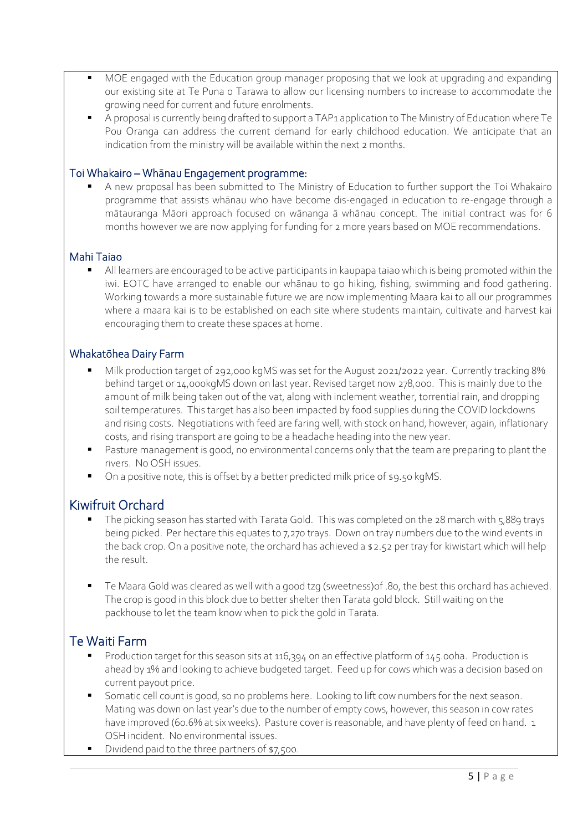- MOE engaged with the Education group manager proposing that we look at upgrading and expanding our existing site at Te Puna o Tarawa to allow our licensing numbers to increase to accommodate the growing need for current and future enrolments.
- A proposal is currently being drafted to support a TAP1 application to The Ministry of Education where Te Pou Oranga can address the current demand for early childhood education. We anticipate that an indication from the ministry will be available within the next 2 months.

#### Toi Whakairo – Whānau Engagement programme:

A new proposal has been submitted to The Ministry of Education to further support the Toi Whakairo programme that assists whānau who have become dis-engaged in education to re-engage through a mātauranga Māori approach focused on wānanga ā whānau concept. The initial contract was for 6 months however we are now applying for funding for 2 more years based on MOE recommendations.

#### Mahi Taiao

All learners are encouraged to be active participants in kaupapa taiao which is being promoted within the iwi. EOTC have arranged to enable our whānau to go hiking, fishing, swimming and food gathering. Working towards a more sustainable future we are now implementing Maara kai to all our programmes where a maara kai is to be established on each site where students maintain, cultivate and harvest kai encouraging them to create these spaces at home.

#### Whakatōhea Dairy Farm

- Milk production target of 292,000 kgMS was set for the August 2021/2022 year. Currently tracking 8% behind target or 14,000kgMS down on last year. Revised target now 278,000. This is mainly due to the amount of milk being taken out of the vat, along with inclement weather, torrential rain, and dropping soil temperatures. This target has also been impacted by food supplies during the COVID lockdowns and rising costs. Negotiations with feed are faring well, with stock on hand, however, again, inflationary costs, and rising transport are going to be a headache heading into the new year.
- Pasture management is good, no environmental concerns only that the team are preparing to plant the rivers. No OSH issues.
- On a positive note, this is offset by a better predicted milk price of \$9.50 kgMS.

# Kiwifruit Orchard

- The picking season has started with Tarata Gold. This was completed on the 28 march with 5,889 trays being picked. Per hectare this equates to 7,270 trays. Down on tray numbers due to the wind events in the back crop. On a positive note, the orchard has achieved a \$2.52 per tray for kiwistart which will help the result.
- Te Maara Gold was cleared as well with a good tzg (sweetness) of .80, the best this orchard has achieved. The crop is good in this block due to better shelter then Tarata gold block. Still waiting on the packhouse to let the team know when to pick the gold in Tarata.

# Te Waiti Farm

- Production target for this season sits at 116,394 on an effective platform of 145.00ha. Production is ahead by 1% and looking to achieve budgeted target. Feed up for cows which was a decision based on current payout price.
- Somatic cell count is good, so no problems here. Looking to lift cow numbers for the next season. Mating was down on last year's due to the number of empty cows, however, this season in cow rates have improved (60.6% at six weeks). Pasture cover is reasonable, and have plenty of feed on hand. 1 OSH incident. No environmental issues.
- Dividend paid to the three partners of \$7,500.